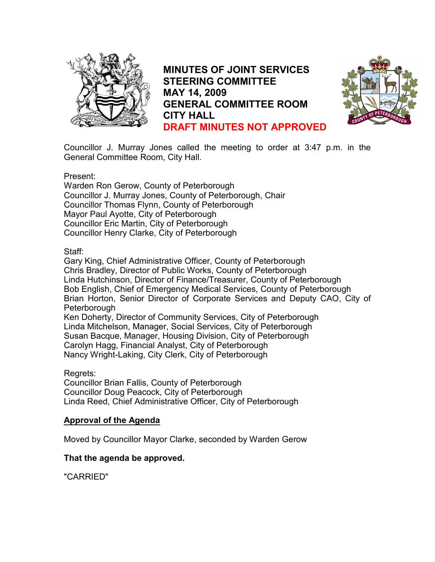

MINUTES OF JOINT SERVICES STEERING COMMITTEE MAY 14, 2009 GENERAL COMMITTEE ROOM CITY HALL DRAFT MINUTES NOT APPROVED



Councillor J. Murray Jones called the meeting to order at 3:47 p.m. in the General Committee Room, City Hall.

Present:

Warden Ron Gerow, County of Peterborough Councillor J. Murray Jones, County of Peterborough, Chair Councillor Thomas Flynn, County of Peterborough Mayor Paul Ayotte, City of Peterborough Councillor Eric Martin, City of Peterborough Councillor Henry Clarke, City of Peterborough

#### Staff:

Gary King, Chief Administrative Officer, County of Peterborough Chris Bradley, Director of Public Works, County of Peterborough Linda Hutchinson, Director of Finance/Treasurer, County of Peterborough Bob English, Chief of Emergency Medical Services, County of Peterborough Brian Horton, Senior Director of Corporate Services and Deputy CAO, City of **Peterborough** Ken Doherty, Director of Community Services, City of Peterborough Linda Mitchelson, Manager, Social Services, City of Peterborough Susan Bacque, Manager, Housing Division, City of Peterborough Carolyn Hagg, Financial Analyst, City of Peterborough

Nancy Wright-Laking, City Clerk, City of Peterborough

## Regrets:

Councillor Brian Fallis, County of Peterborough Councillor Doug Peacock, City of Peterborough Linda Reed, Chief Administrative Officer, City of Peterborough

## Approval of the Agenda

Moved by Councillor Mayor Clarke, seconded by Warden Gerow

## That the agenda be approved.

"CARRIED"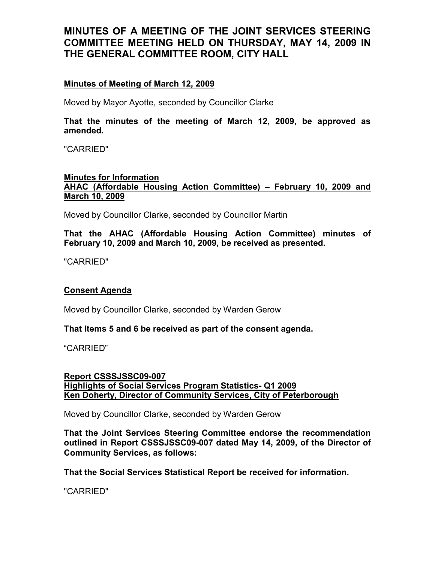## Minutes of Meeting of March 12, 2009

Moved by Mayor Ayotte, seconded by Councillor Clarke

That the minutes of the meeting of March 12, 2009, be approved as amended.

"CARRIED"

#### Minutes for Information AHAC (Affordable Housing Action Committee) – February 10, 2009 and March 10, 2009

Moved by Councillor Clarke, seconded by Councillor Martin

That the AHAC (Affordable Housing Action Committee) minutes of February 10, 2009 and March 10, 2009, be received as presented.

"CARRIED"

## Consent Agenda

Moved by Councillor Clarke, seconded by Warden Gerow

#### That Items 5 and 6 be received as part of the consent agenda.

"CARRIED"

#### Report CSSSJSSC09-007 Highlights of Social Services Program Statistics- Q1 2009 Ken Doherty, Director of Community Services, City of Peterborough

Moved by Councillor Clarke, seconded by Warden Gerow

That the Joint Services Steering Committee endorse the recommendation outlined in Report CSSSJSSC09-007 dated May 14, 2009, of the Director of Community Services, as follows:

That the Social Services Statistical Report be received for information.

"CARRIED"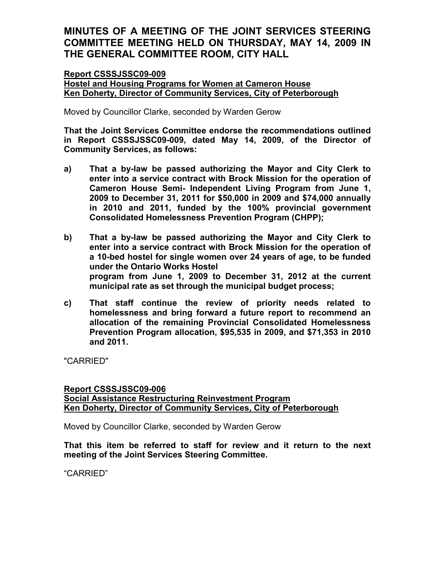#### Report CSSSJSSC09-009 Hostel and Housing Programs for Women at Cameron House Ken Doherty, Director of Community Services, City of Peterborough

Moved by Councillor Clarke, seconded by Warden Gerow

That the Joint Services Committee endorse the recommendations outlined in Report CSSSJSSC09-009, dated May 14, 2009, of the Director of Community Services, as follows:

- a) That a by-law be passed authorizing the Mayor and City Clerk to enter into a service contract with Brock Mission for the operation of Cameron House Semi- Independent Living Program from June 1, 2009 to December 31, 2011 for \$50,000 in 2009 and \$74,000 annually in 2010 and 2011, funded by the 100% provincial government Consolidated Homelessness Prevention Program (CHPP);
- b) That a by-law be passed authorizing the Mayor and City Clerk to enter into a service contract with Brock Mission for the operation of a 10-bed hostel for single women over 24 years of age, to be funded under the Ontario Works Hostel program from June 1, 2009 to December 31, 2012 at the current municipal rate as set through the municipal budget process;
- c) That staff continue the review of priority needs related to homelessness and bring forward a future report to recommend an allocation of the remaining Provincial Consolidated Homelessness Prevention Program allocation, \$95,535 in 2009, and \$71,353 in 2010 and 2011.

"CARRIED"

#### Report CSSSJSSC09-006 Social Assistance Restructuring Reinvestment Program Ken Doherty, Director of Community Services, City of Peterborough

Moved by Councillor Clarke, seconded by Warden Gerow

That this item be referred to staff for review and it return to the next meeting of the Joint Services Steering Committee.

"CARRIED"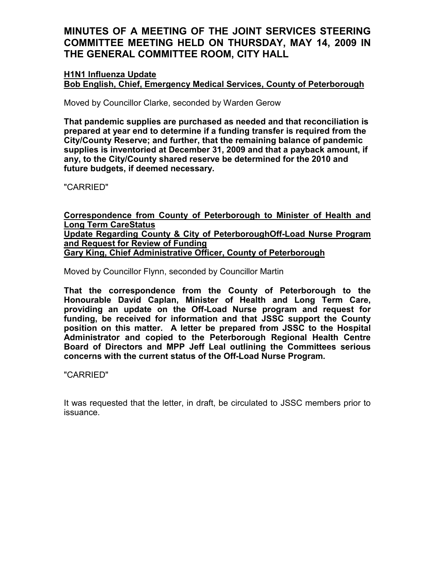### H1N1 Influenza Update Bob English, Chief, Emergency Medical Services, County of Peterborough

Moved by Councillor Clarke, seconded by Warden Gerow

That pandemic supplies are purchased as needed and that reconciliation is prepared at year end to determine if a funding transfer is required from the City/County Reserve; and further, that the remaining balance of pandemic supplies is inventoried at December 31, 2009 and that a payback amount, if any, to the City/County shared reserve be determined for the 2010 and future budgets, if deemed necessary.

"CARRIED"

Correspondence from County of Peterborough to Minister of Health and Long Term CareStatus Update Regarding County & City of PeterboroughOff-Load Nurse Program and Request for Review of Funding Gary King, Chief Administrative Officer, County of Peterborough

Moved by Councillor Flynn, seconded by Councillor Martin

That the correspondence from the County of Peterborough to the Honourable David Caplan, Minister of Health and Long Term Care, providing an update on the Off-Load Nurse program and request for funding, be received for information and that JSSC support the County position on this matter. A letter be prepared from JSSC to the Hospital Administrator and copied to the Peterborough Regional Health Centre Board of Directors and MPP Jeff Leal outlining the Committees serious concerns with the current status of the Off-Load Nurse Program.

"CARRIED"

It was requested that the letter, in draft, be circulated to JSSC members prior to issuance.